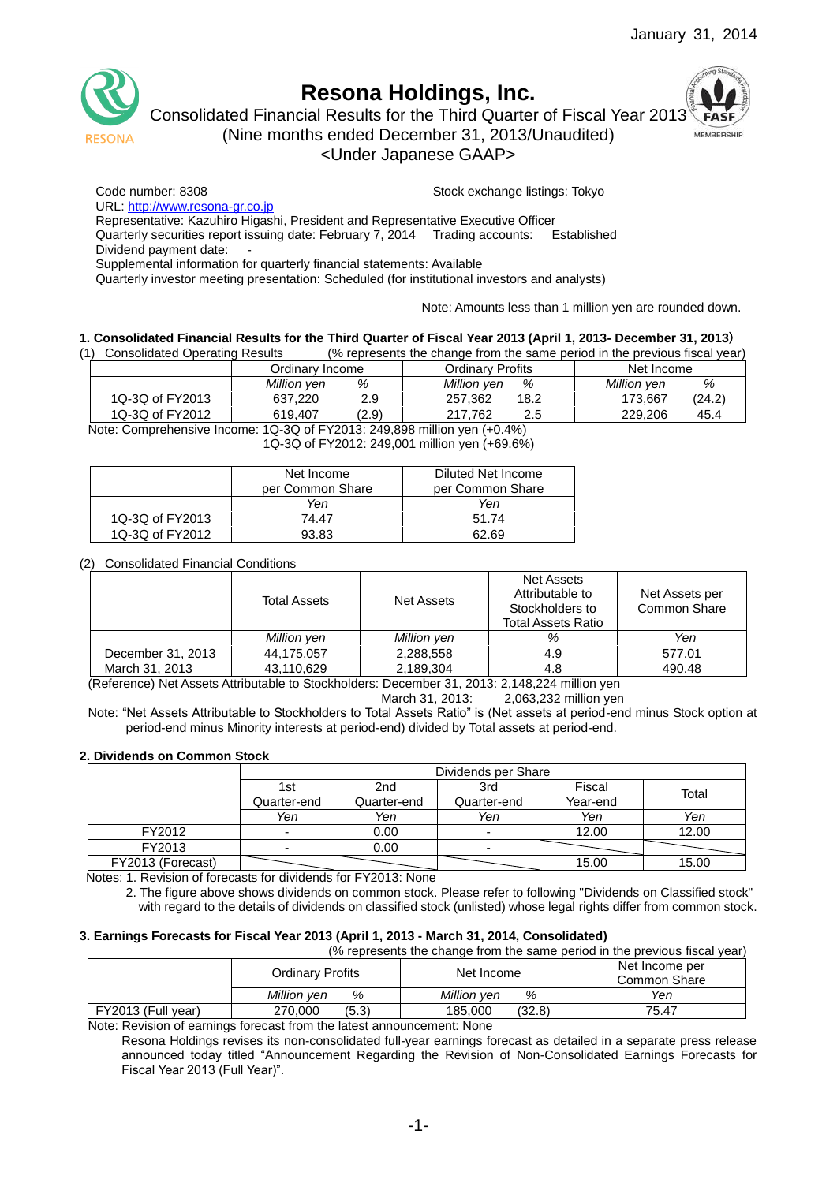

# **Resona Holdings, Inc.**

Consolidated Financial Results for the Third Quarter of Fiscal Year 2013



(Nine months ended December 31, 2013/Unaudited)

<Under Japanese GAAP>

Code number: 8308 Stock exchange listings: Tokyo

URL: [http://www.resona-gr.co.jp](http://www.resona-gr.co.jp/)

Representative: Kazuhiro Higashi, President and Representative Executive Officer

Quarterly securities report issuing date: February 7, 2014 Trading accounts: Established

Dividend payment date:

Supplemental information for quarterly financial statements: Available

Quarterly investor meeting presentation: Scheduled (for institutional investors and analysts)

Note: Amounts less than 1 million yen are rounded down.

#### **1. Consolidated Financial Results for the Third Quarter of Fiscal Year 2013 (April 1, 2013- December 31, 2013**)

(1) Consolidated Operating Results (% represents the change from the same period in the previous fiscal year)

|                 | Ordinarv Income | Ordinarv Profits | Net Income  |  |
|-----------------|-----------------|------------------|-------------|--|
|                 | %               | %                | %           |  |
|                 | Million yen     | Million yen      | Million yen |  |
| 1Q-3Q of FY2013 | 2.9             | 257.362          | (24.2)      |  |
|                 | 637,220         | 18.2             | 173.667     |  |
| 1Q-3Q of FY2012 | (2.9)           | 217.762          | 229.206     |  |
|                 | 619.407         | 2.5              | 45.4        |  |

Note: Comprehensive Income: 1Q-3Q of FY2013: 249,898 million yen (+0.4%) 1Q-3Q of FY2012: 249,001 million yen (+69.6%)

|                 | Net Income       | Diluted Net Income |
|-----------------|------------------|--------------------|
|                 | per Common Share | per Common Share   |
|                 | Yen              | Yen                |
| 1Q-3Q of FY2013 | 74.47            | 51.74              |
| 1Q-3Q of FY2012 | 93.83            | 62.69              |

#### (2) Consolidated Financial Conditions

|                   | Total Assets | Net Assets  | Net Assets<br>Attributable to<br>Stockholders to<br><b>Total Assets Ratio</b> | Net Assets per<br>Common Share |
|-------------------|--------------|-------------|-------------------------------------------------------------------------------|--------------------------------|
|                   | Million yen  | Million yen | %                                                                             | Yen                            |
| December 31, 2013 | 44,175,057   | 2,288,558   | 4.9                                                                           | 577.01                         |
| March 31, 2013    | 43,110,629   | 2,189,304   | 4.8                                                                           | 490.48                         |

(Reference) Net Assets Attributable to Stockholders: December 31, 2013: 2,148,224 million yen

March 31, 2013: 2,063,232 million yen

Note: "Net Assets Attributable to Stockholders to Total Assets Ratio" is (Net assets at period-end minus Stock option at period-end minus Minority interests at period-end) divided by Total assets at period-end.

#### **2. Dividends on Common Stock**

|                   | Dividends per Share |             |             |          |       |  |
|-------------------|---------------------|-------------|-------------|----------|-------|--|
|                   | 1st                 | 2nd         | 3rd         | Fiscal   | Total |  |
|                   | Quarter-end         | Quarter-end | Quarter-end | Year-end |       |  |
|                   | Yen                 | Yen         | Yen         | Yen      | Yen   |  |
| FY2012            |                     | 0.00        |             | 12.00    | 12.00 |  |
| FY2013            |                     | 0.00        |             |          |       |  |
| FY2013 (Forecast) |                     |             |             | 15.00    | 15.00 |  |

Notes: 1. Revision of forecasts for dividends for FY2013: None

2. The figure above shows dividends on common stock. Please refer to following "Dividends on Classified stock" with regard to the details of dividends on classified stock (unlisted) whose legal rights differ from common stock.

#### **3. Earnings Forecasts for Fiscal Year 2013 (April 1, 2013 - March 31, 2014, Consolidated)**

(% represents the change from the same period in the previous fiscal year)

|                    | <b>Ordinary Profits</b> | Net Income        | Net Income per<br>Common Share |
|--------------------|-------------------------|-------------------|--------------------------------|
|                    | Million ven<br>%        | Million ven<br>%  | Yen                            |
| FY2013 (Full year) | (5.3)<br>270,000        | (32.8)<br>185.000 | 75.47                          |

Note: Revision of earnings forecast from the latest announcement: None

Resona Holdings revises its non-consolidated full-year earnings forecast as detailed in a separate press release announced today titled "Announcement Regarding the Revision of Non-Consolidated Earnings Forecasts for Fiscal Year 2013 (Full Year)".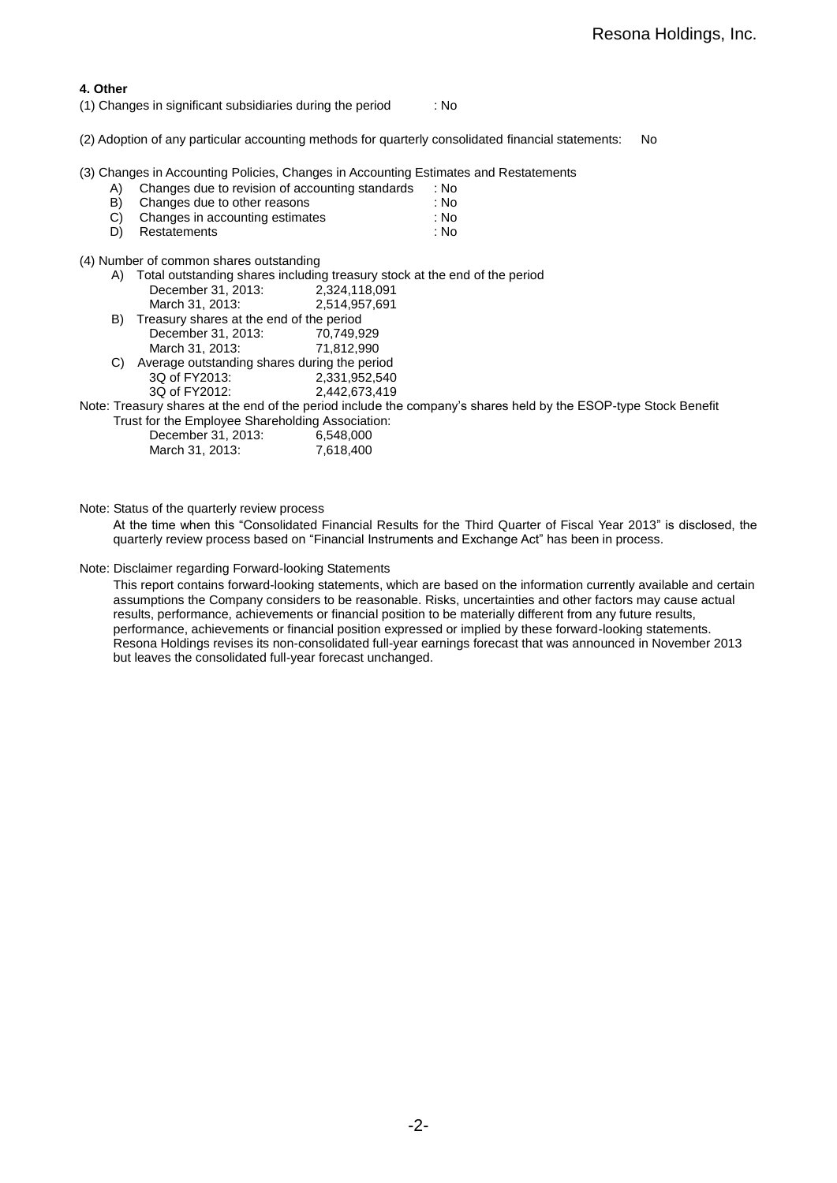#### **4. Other**

(1) Changes in significant subsidiaries during the period : No

(2) Adoption of any particular accounting methods for quarterly consolidated financial statements: No

(3) Changes in Accounting Policies, Changes in Accounting Estimates and Restatements

| A) |  | Changes due to revision of accounting standards | : No |
|----|--|-------------------------------------------------|------|
|    |  |                                                 |      |

- B) Changes due to other reasons : No
- C) Changes in accounting estimates :  $\sim$  : No D) Restatements : No Restatements : No

(4) Number of common shares outstanding

| A) |                                                  | Total outstanding shares including treasury stock at the end of the period                                      |
|----|--------------------------------------------------|-----------------------------------------------------------------------------------------------------------------|
|    | December 31, 2013:                               | 2,324,118,091                                                                                                   |
|    | March 31, 2013:                                  | 2,514,957,691                                                                                                   |
| B) | Treasury shares at the end of the period         |                                                                                                                 |
|    | December 31, 2013:                               | 70,749,929                                                                                                      |
|    | March 31, 2013:                                  | 71.812.990                                                                                                      |
| C) | Average outstanding shares during the period     |                                                                                                                 |
|    | 3Q of FY2013:                                    | 2,331,952,540                                                                                                   |
|    | 3Q of FY2012:                                    | 2,442,673,419                                                                                                   |
|    |                                                  | Note: Treasury shares at the end of the period include the company's shares held by the ESOP-type Stock Benefit |
|    | Trust for the Employee Shareholding Association: |                                                                                                                 |
|    | December 31, 2013:                               | 6,548,000                                                                                                       |
|    | March 31, 2013:                                  | 7.618.400                                                                                                       |

Note: Status of the quarterly review process

At the time when this "Consolidated Financial Results for the Third Quarter of Fiscal Year 2013" is disclosed, the quarterly review process based on "Financial Instruments and Exchange Act" has been in process.

Note: Disclaimer regarding Forward-looking Statements

This report contains forward-looking statements, which are based on the information currently available and certain assumptions the Company considers to be reasonable. Risks, uncertainties and other factors may cause actual results, performance, achievements or financial position to be materially different from any future results, performance, achievements or financial position expressed or implied by these forward-looking statements. Resona Holdings revises its non-consolidated full-year earnings forecast that was announced in November 2013 but leaves the consolidated full-year forecast unchanged.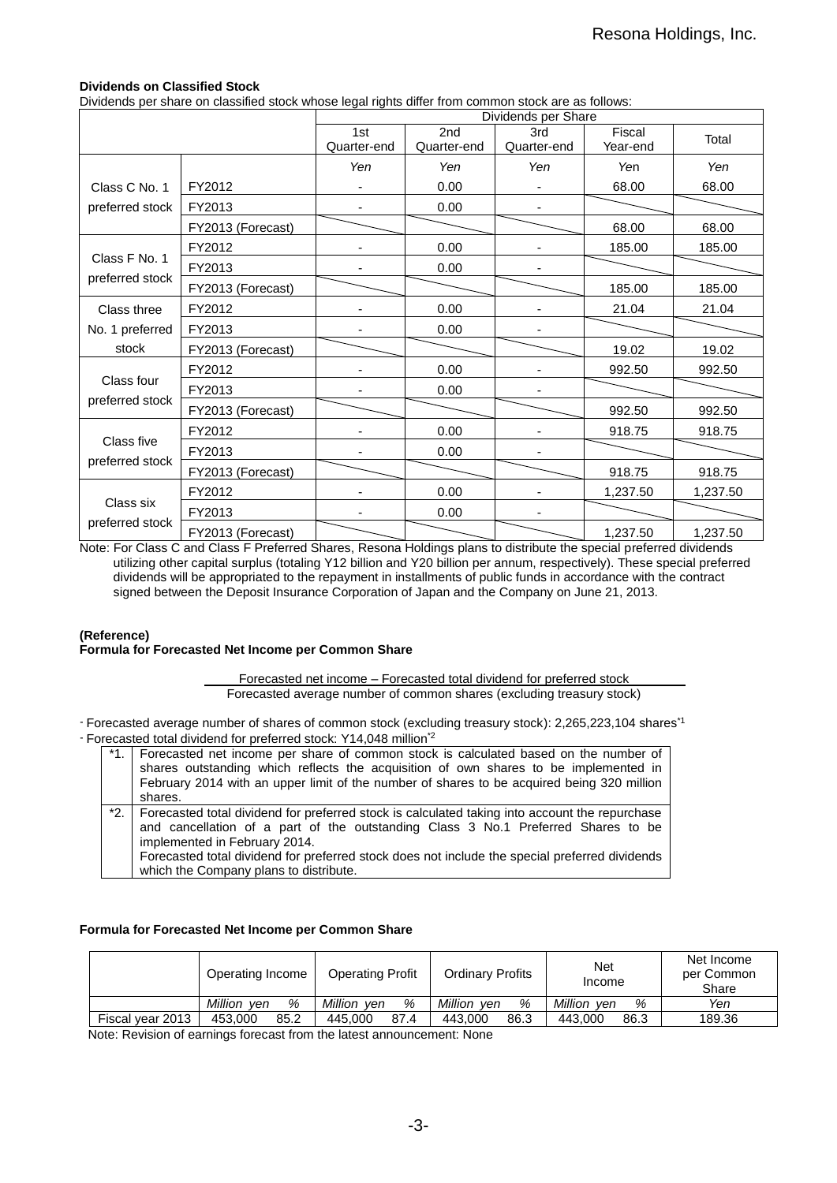## **Dividends on Classified Stock**

Dividends per share on classified stock whose legal rights differ from common stock are as follows:

|                               |                   | Dividends per Share |                 |                          |          |          |
|-------------------------------|-------------------|---------------------|-----------------|--------------------------|----------|----------|
|                               |                   | 1st                 | 2 <sub>nd</sub> | 3rd                      | Fiscal   | Total    |
|                               |                   | Quarter-end         | Quarter-end     | Quarter-end              | Year-end |          |
|                               |                   | Yen                 | Yen             | Yen                      | Yen      | Yen      |
| Class C No. 1                 | FY2012            |                     | 0.00            | $\overline{\phantom{0}}$ | 68.00    | 68.00    |
| preferred stock               | FY2013            |                     | 0.00            |                          |          |          |
|                               | FY2013 (Forecast) |                     |                 |                          | 68.00    | 68.00    |
|                               | FY2012            |                     | 0.00            |                          | 185.00   | 185.00   |
| Class F No. 1                 | FY2013            |                     | 0.00            |                          |          |          |
| preferred stock               | FY2013 (Forecast) |                     |                 |                          | 185.00   | 185.00   |
| Class three                   | FY2012            |                     | 0.00            |                          | 21.04    | 21.04    |
| No. 1 preferred               | FY2013            |                     | 0.00            |                          |          |          |
| stock                         | FY2013 (Forecast) |                     |                 |                          | 19.02    | 19.02    |
|                               | FY2012            |                     | 0.00            |                          | 992.50   | 992.50   |
| Class four                    | FY2013            |                     | 0.00            |                          |          |          |
| preferred stock               | FY2013 (Forecast) |                     |                 |                          | 992.50   | 992.50   |
|                               | FY2012            |                     | 0.00            |                          | 918.75   | 918.75   |
| Class five<br>preferred stock | FY2013            |                     | 0.00            |                          |          |          |
|                               | FY2013 (Forecast) |                     |                 |                          | 918.75   | 918.75   |
|                               | FY2012            |                     | 0.00            |                          | 1,237.50 | 1,237.50 |
| Class six                     | FY2013            |                     | 0.00            |                          |          |          |
| preferred stock               | FY2013 (Forecast) |                     |                 |                          | 1,237.50 | 1,237.50 |

Note: For Class C and Class F Preferred Shares, Resona Holdings plans to distribute the special preferred dividends utilizing other capital surplus (totaling Y12 billion and Y20 billion per annum, respectively). These special preferred dividends will be appropriated to the repayment in installments of public funds in accordance with the contract signed between the Deposit Insurance Corporation of Japan and the Company on June 21, 2013.

#### **(Reference)**

#### **Formula for Forecasted Net Income per Common Share**

Forecasted net income – Forecasted total dividend for preferred stock Forecasted average number of common shares (excluding treasury stock)

- Forecasted average number of shares of common stock (excluding treasury stock): 2,265,223,104 shares\*1 - Forecasted total dividend for preferred stock: Y14,048 million\*2

| *1. Forecasted net income per share of common stock is calculated based on the number of<br>shares outstanding which reflects the acquisition of own shares to be implemented in<br>February 2014 with an upper limit of the number of shares to be acquired being 320 million<br>shares.                                                                            |
|----------------------------------------------------------------------------------------------------------------------------------------------------------------------------------------------------------------------------------------------------------------------------------------------------------------------------------------------------------------------|
| *2. Forecasted total dividend for preferred stock is calculated taking into account the repurchase<br>and cancellation of a part of the outstanding Class 3 No.1 Preferred Shares to be<br>implemented in February 2014.<br>Forecasted total dividend for preferred stock does not include the special preferred dividends<br>which the Company plans to distribute. |

#### **Formula for Forecasted Net Income per Common Share**

|                  | Operating Income    | <b>Operating Profit</b> | Ordinary Profits    | Net<br>Income       | Net Income<br>per Common<br>Share |
|------------------|---------------------|-------------------------|---------------------|---------------------|-----------------------------------|
|                  | Million<br>%<br>ven | Million<br>%<br>ven     | Million<br>%<br>ven | Million<br>%<br>ven | Yen                               |
| Fiscal year 2013 | 85.2<br>453,000     | 87.4<br>445.000         | 86.3<br>443,000     | 86.3<br>443.000     | 189.36                            |

Note: Revision of earnings forecast from the latest announcement: None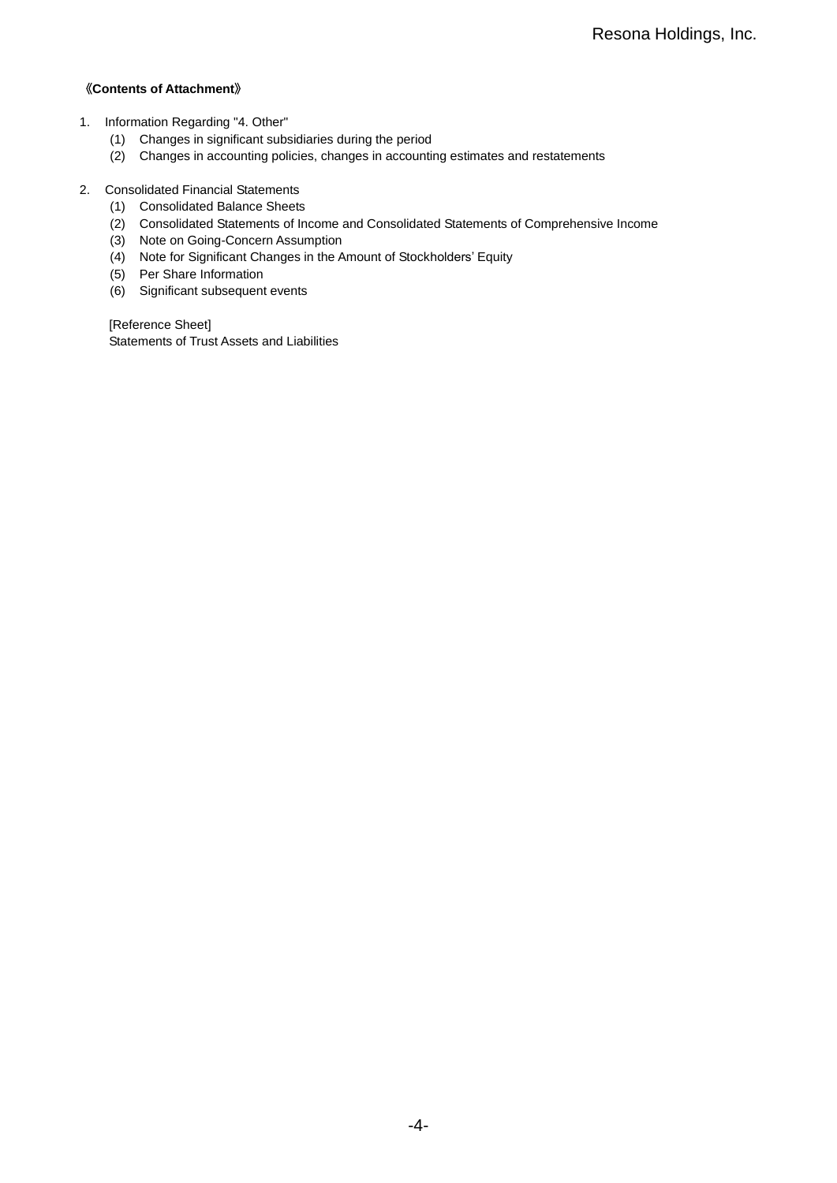## 《**Contents of Attachment**》

- 1. Information Regarding "4. Other"
	- (1) Changes in significant subsidiaries during the period
	- (2) Changes in accounting policies, changes in accounting estimates and restatements
- 2. Consolidated Financial Statements
	- (1) Consolidated Balance Sheets
	- (2) Consolidated Statements of Income and Consolidated Statements of Comprehensive Income
	- (3) Note on Going-Concern Assumption
	- (4) Note for Significant Changes in the Amount of Stockholders' Equity
	- (5) Per Share Information
	- (6) Significant subsequent events

[Reference Sheet] Statements of Trust Assets and Liabilities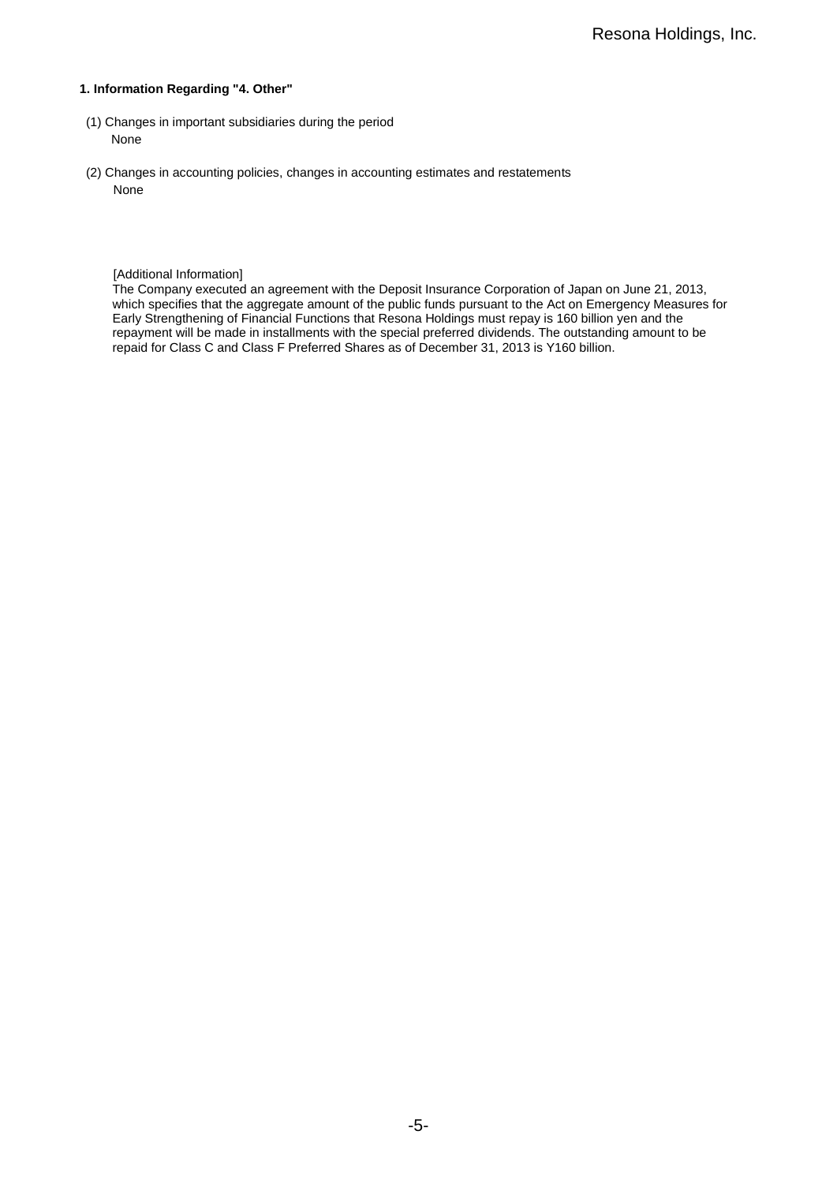#### **1. Information Regarding "4. Other"**

- (1) Changes in important subsidiaries during the period None
- (2) Changes in accounting policies, changes in accounting estimates and restatements None

#### [Additional Information]

The Company executed an agreement with the Deposit Insurance Corporation of Japan on June 21, 2013, which specifies that the aggregate amount of the public funds pursuant to the Act on Emergency Measures for Early Strengthening of Financial Functions that Resona Holdings must repay is 160 billion yen and the repayment will be made in installments with the special preferred dividends. The outstanding amount to be repaid for Class C and Class F Preferred Shares as of December 31, 2013 is Y160 billion.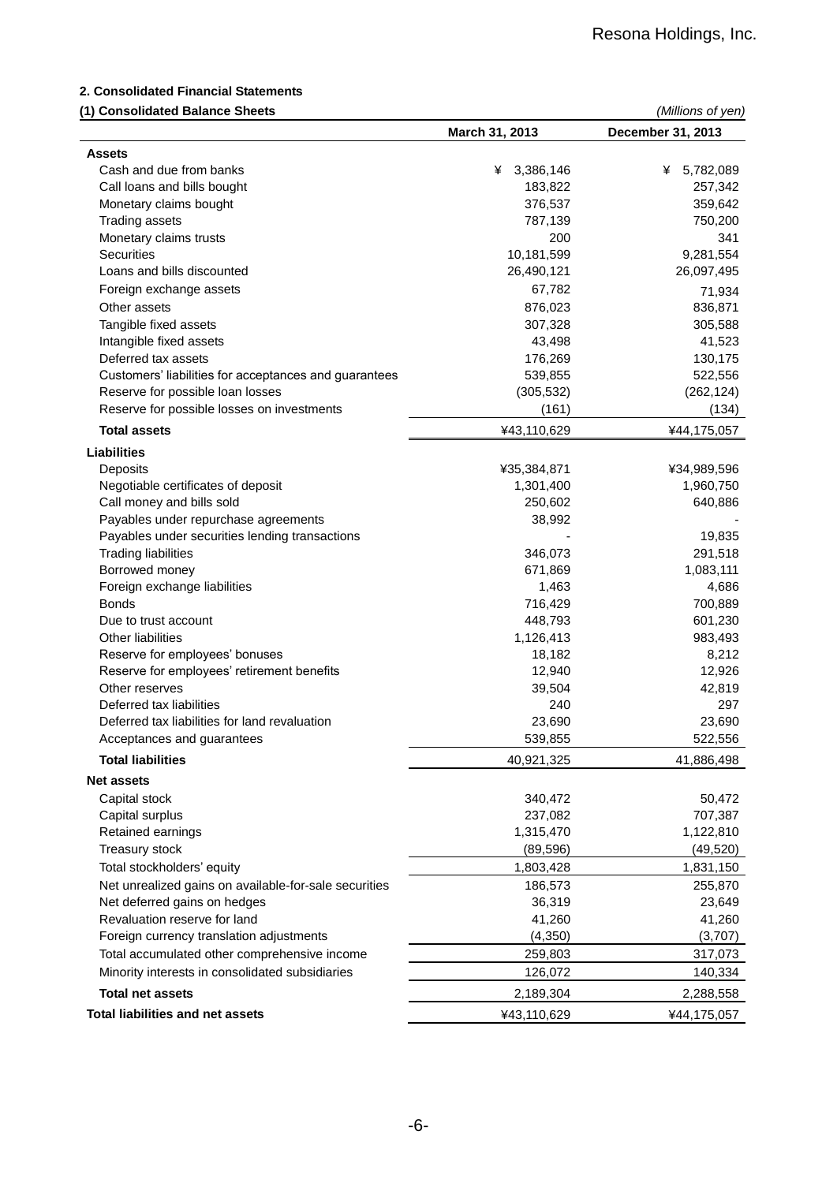### **2. Consolidated Financial Statements**

#### **(1) Consolidated Balance Sheets** *(Millions of yen)*

|                                                       | March 31, 2013 | December 31, 2013 |
|-------------------------------------------------------|----------------|-------------------|
| <b>Assets</b>                                         |                |                   |
| Cash and due from banks                               | 3,386,146<br>¥ | 5,782,089<br>¥    |
| Call loans and bills bought                           | 183,822        | 257,342           |
| Monetary claims bought                                | 376,537        | 359,642           |
| <b>Trading assets</b>                                 | 787,139        | 750,200           |
| Monetary claims trusts                                | 200            | 341               |
| <b>Securities</b>                                     | 10,181,599     | 9,281,554         |
| Loans and bills discounted                            | 26,490,121     | 26,097,495        |
| Foreign exchange assets                               | 67,782         | 71,934            |
| Other assets                                          | 876,023        | 836,871           |
| Tangible fixed assets                                 | 307,328        | 305,588           |
| Intangible fixed assets                               | 43,498         | 41,523            |
| Deferred tax assets                                   | 176,269        | 130,175           |
| Customers' liabilities for acceptances and guarantees | 539,855        | 522,556           |
| Reserve for possible loan losses                      | (305, 532)     | (262, 124)        |
| Reserve for possible losses on investments            | (161)          | (134)             |
| <b>Total assets</b>                                   | ¥43,110,629    | ¥44,175,057       |
| <b>Liabilities</b>                                    |                |                   |
| Deposits                                              | ¥35,384,871    | ¥34,989,596       |
| Negotiable certificates of deposit                    | 1,301,400      | 1,960,750         |
| Call money and bills sold                             | 250,602        | 640,886           |
| Payables under repurchase agreements                  | 38,992         |                   |
| Payables under securities lending transactions        |                | 19,835            |
| <b>Trading liabilities</b>                            | 346,073        | 291,518           |
| Borrowed money                                        | 671,869        | 1,083,111         |
| Foreign exchange liabilities                          | 1,463          | 4,686             |
| <b>Bonds</b>                                          | 716,429        | 700,889           |
| Due to trust account                                  | 448,793        | 601,230           |
| Other liabilities                                     | 1,126,413      | 983,493           |
| Reserve for employees' bonuses                        | 18,182         | 8,212             |
| Reserve for employees' retirement benefits            | 12,940         | 12,926            |
| Other reserves                                        | 39,504         | 42,819            |
| Deferred tax liabilities                              | 240            | 297               |
| Deferred tax liabilities for land revaluation         | 23,690         | 23,690            |
| Acceptances and guarantees                            | 539,855        | 522,556           |
| <b>Total liabilities</b>                              | 40,921,325     | 41,886,498        |
| <b>Net assets</b>                                     |                |                   |
| Capital stock                                         | 340,472        | 50,472            |
| Capital surplus                                       | 237,082        | 707,387           |
| Retained earnings                                     | 1,315,470      | 1,122,810         |
| Treasury stock                                        | (89, 596)      | (49, 520)         |
| Total stockholders' equity                            | 1,803,428      | 1,831,150         |
| Net unrealized gains on available-for-sale securities |                |                   |
| Net deferred gains on hedges                          | 186,573        | 255,870           |
| Revaluation reserve for land                          | 36,319         | 23,649            |
|                                                       | 41,260         | 41,260            |
| Foreign currency translation adjustments              | (4,350)        | (3,707)           |
| Total accumulated other comprehensive income          | 259,803        | 317,073           |
| Minority interests in consolidated subsidiaries       | 126,072        | 140,334           |
| <b>Total net assets</b>                               | 2,189,304      | 2,288,558         |
| <b>Total liabilities and net assets</b>               | ¥43,110,629    | ¥44,175,057       |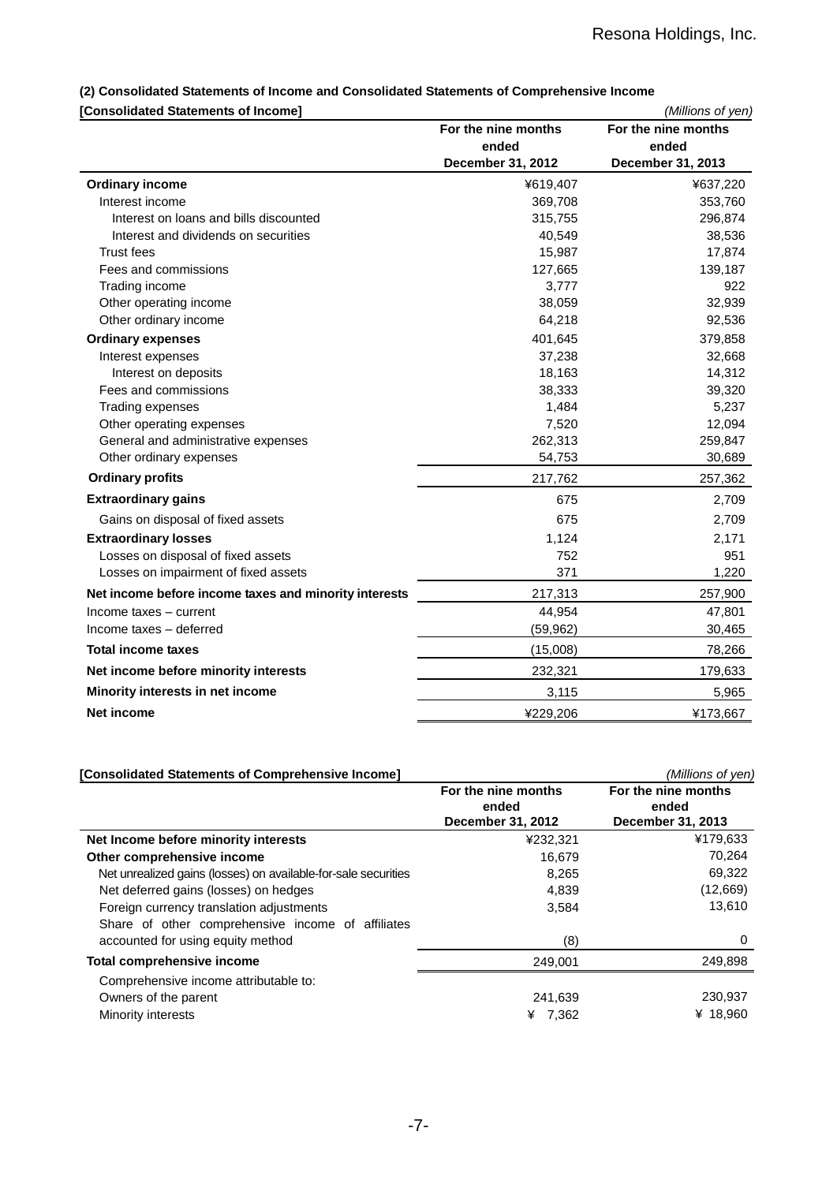# **(2) Consolidated Statements of Income and Consolidated Statements of Comprehensive Income**

# **[Consolidated Statements of Income]** *(Millions of yen)*

| <b> Consolidated Statements of Income </b>            |                     | (Millions of yen)   |
|-------------------------------------------------------|---------------------|---------------------|
|                                                       | For the nine months | For the nine months |
|                                                       | ended               | ended               |
|                                                       | December 31, 2012   | December 31, 2013   |
| <b>Ordinary income</b>                                | ¥619,407            | ¥637,220            |
| Interest income                                       | 369,708             | 353,760             |
| Interest on loans and bills discounted                | 315,755             | 296,874             |
| Interest and dividends on securities                  | 40,549              | 38,536              |
| <b>Trust fees</b>                                     | 15,987              | 17,874              |
| Fees and commissions                                  | 127,665             | 139,187             |
| Trading income                                        | 3,777               | 922                 |
| Other operating income                                | 38,059              | 32,939              |
| Other ordinary income                                 | 64,218              | 92,536              |
| <b>Ordinary expenses</b>                              | 401,645             | 379,858             |
| Interest expenses                                     | 37,238              | 32,668              |
| Interest on deposits                                  | 18,163              | 14,312              |
| Fees and commissions                                  | 38,333              | 39,320              |
| Trading expenses                                      | 1,484               | 5,237               |
| Other operating expenses                              | 7,520               | 12,094              |
| General and administrative expenses                   | 262,313             | 259,847             |
| Other ordinary expenses                               | 54,753              | 30,689              |
| <b>Ordinary profits</b>                               | 217,762             | 257,362             |
| <b>Extraordinary gains</b>                            | 675                 | 2,709               |
| Gains on disposal of fixed assets                     | 675                 | 2,709               |
| <b>Extraordinary losses</b>                           | 1,124               | 2,171               |
| Losses on disposal of fixed assets                    | 752                 | 951                 |
| Losses on impairment of fixed assets                  | 371                 | 1,220               |
| Net income before income taxes and minority interests | 217,313             | 257,900             |
| Income taxes - current                                | 44,954              | 47,801              |
| Income taxes - deferred                               | (59, 962)           | 30,465              |
| <b>Total income taxes</b>                             | (15,008)            | 78,266              |
| Net income before minority interests                  | 232,321             | 179,633             |
| Minority interests in net income                      | 3,115               | 5,965               |
| <b>Net income</b>                                     | ¥229,206            | ¥173,667            |
|                                                       |                     |                     |

| [Consolidated Statements of Comprehensive Income]                                             |                                                   | (Millions of yen)                                 |
|-----------------------------------------------------------------------------------------------|---------------------------------------------------|---------------------------------------------------|
|                                                                                               | For the nine months<br>ended<br>December 31, 2012 | For the nine months<br>ended<br>December 31, 2013 |
| Net Income before minority interests                                                          | ¥232,321                                          | ¥179,633                                          |
| Other comprehensive income                                                                    | 16.679                                            | 70,264                                            |
| Net unrealized gains (losses) on available-for-sale securities                                | 8,265                                             | 69,322                                            |
| Net deferred gains (losses) on hedges                                                         | 4,839                                             | (12,669)                                          |
| Foreign currency translation adjustments<br>Share of other comprehensive income of affiliates | 3,584                                             | 13,610                                            |
| accounted for using equity method                                                             | (8)                                               | 0                                                 |
| Total comprehensive income                                                                    | 249,001                                           | 249,898                                           |
| Comprehensive income attributable to:                                                         |                                                   |                                                   |
| Owners of the parent                                                                          | 241,639                                           | 230,937                                           |
| Minority interests                                                                            | ¥ 7.362                                           | ¥ 18,960                                          |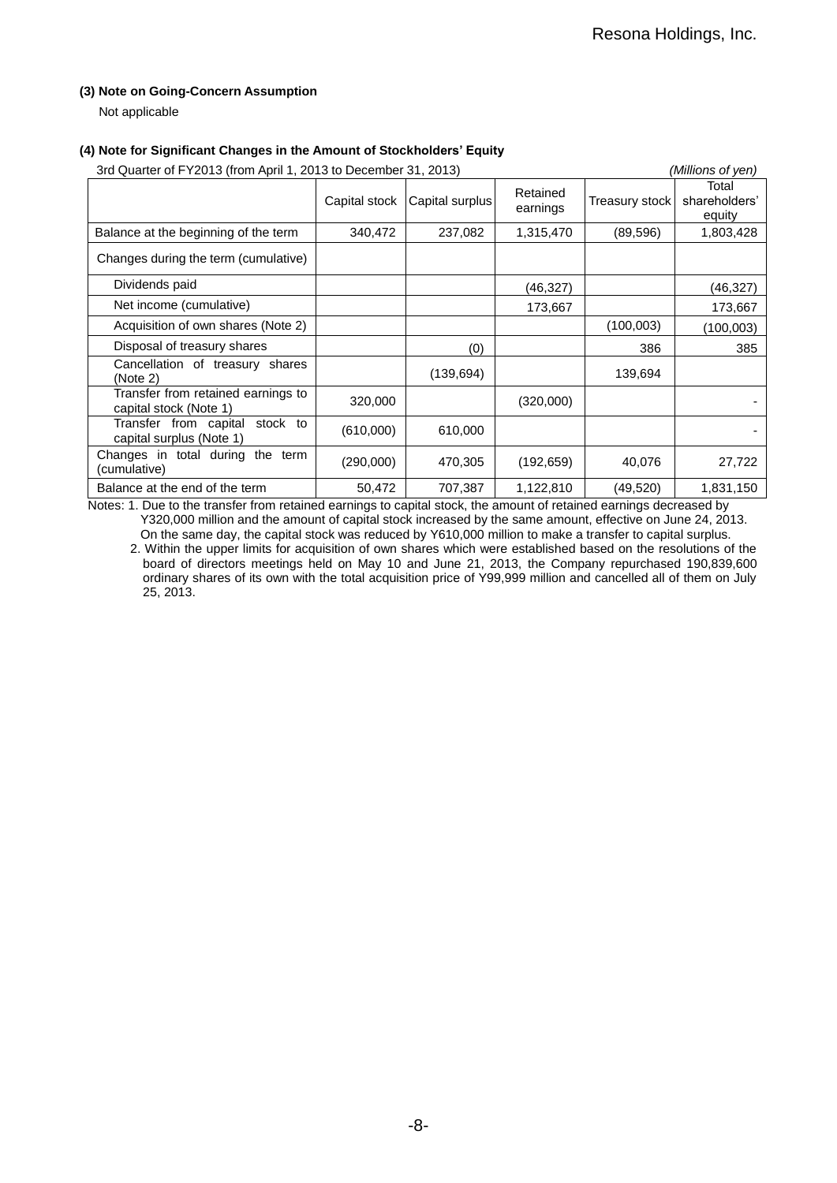## **(3) Note on Going-Concern Assumption**

Not applicable

# **(4) Note for Significant Changes in the Amount of Stockholders' Equity**

| 3rd Quarter of FY2013 (from April 1, 2013 to December 31, 2013) |               |                 |                      | (Millions of yen) |                                  |
|-----------------------------------------------------------------|---------------|-----------------|----------------------|-------------------|----------------------------------|
|                                                                 | Capital stock | Capital surplus | Retained<br>earnings | Treasury stock    | Total<br>shareholders'<br>equity |
| Balance at the beginning of the term                            | 340,472       | 237,082         | 1,315,470            | (89, 596)         | 1,803,428                        |
| Changes during the term (cumulative)                            |               |                 |                      |                   |                                  |
| Dividends paid                                                  |               |                 | (46,327)             |                   | (46,327)                         |
| Net income (cumulative)                                         |               |                 | 173,667              |                   | 173,667                          |
| Acquisition of own shares (Note 2)                              |               |                 |                      | (100,003)         | (100,003)                        |
| Disposal of treasury shares                                     |               | (0)             |                      | 386               | 385                              |
| Cancellation of treasury shares<br>(Note 2)                     |               | (139, 694)      |                      | 139,694           |                                  |
| Transfer from retained earnings to<br>capital stock (Note 1)    | 320,000       |                 | (320,000)            |                   |                                  |
| Transfer from capital<br>stock to<br>capital surplus (Note 1)   | (610,000)     | 610,000         |                      |                   |                                  |
| Changes in total during the term<br>(cumulative)                | (290,000)     | 470,305         | (192, 659)           | 40,076            | 27,722                           |
| Balance at the end of the term                                  | 50,472        | 707,387         | 1,122,810            | (49,520)          | 1,831,150                        |

Notes: 1. Due to the transfer from retained earnings to capital stock, the amount of retained earnings decreased by Y320,000 million and the amount of capital stock increased by the same amount, effective on June 24, 2013. On the same day, the capital stock was reduced by Y610,000 million to make a transfer to capital surplus.

2. Within the upper limits for acquisition of own shares which were established based on the resolutions of the board of directors meetings held on May 10 and June 21, 2013, the Company repurchased 190,839,600 ordinary shares of its own with the total acquisition price of Y99,999 million and cancelled all of them on July 25, 2013.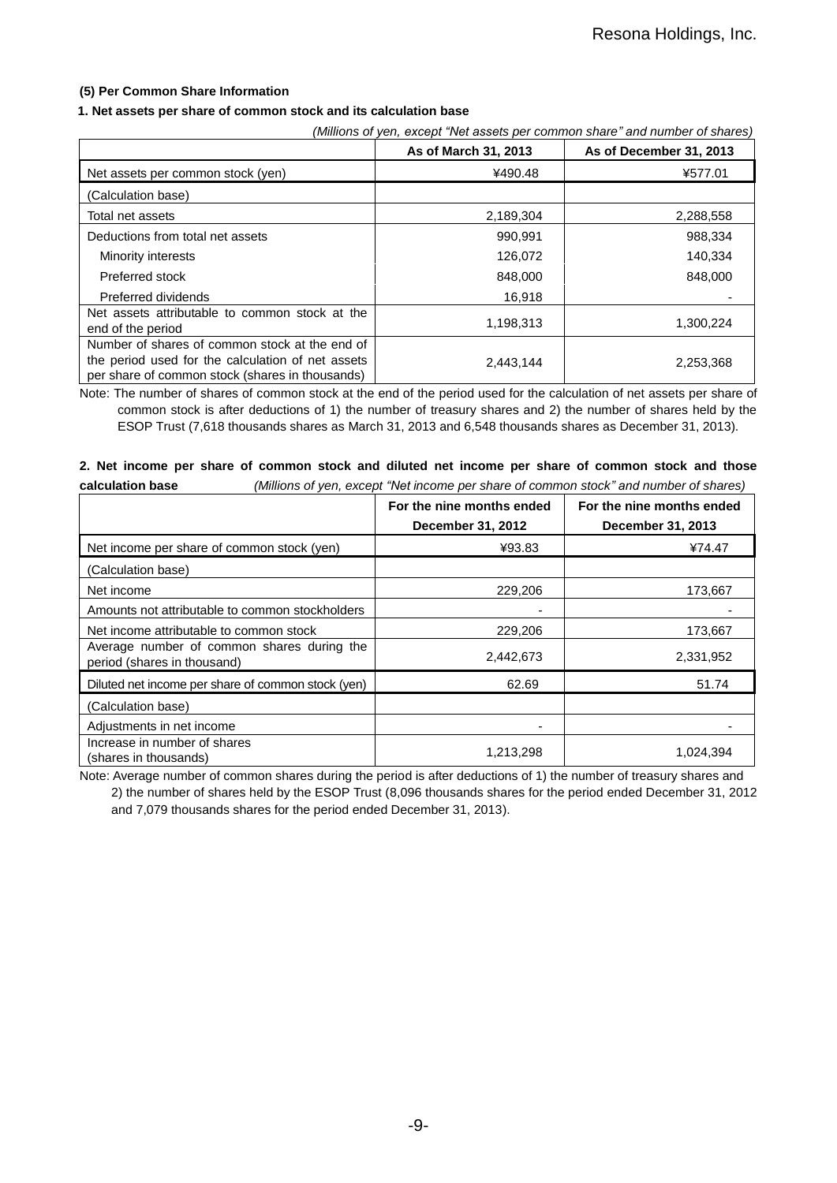## **(5) Per Common Share Information**

#### **1. Net assets per share of common stock and its calculation base**

| (Millions of yen, except "Net assets per common share" and number of shares)                                                                           |                      |                         |  |
|--------------------------------------------------------------------------------------------------------------------------------------------------------|----------------------|-------------------------|--|
|                                                                                                                                                        | As of March 31, 2013 | As of December 31, 2013 |  |
| Net assets per common stock (yen)                                                                                                                      | ¥490.48              | ¥577.01                 |  |
| (Calculation base)                                                                                                                                     |                      |                         |  |
| Total net assets                                                                                                                                       | 2,189,304            | 2,288,558               |  |
| Deductions from total net assets                                                                                                                       | 990,991              | 988,334                 |  |
| Minority interests                                                                                                                                     | 126,072              | 140,334                 |  |
| Preferred stock                                                                                                                                        | 848,000              | 848,000                 |  |
| Preferred dividends                                                                                                                                    | 16.918               |                         |  |
| Net assets attributable to common stock at the<br>end of the period                                                                                    | 1,198,313            | 1,300,224               |  |
| Number of shares of common stock at the end of<br>the period used for the calculation of net assets<br>per share of common stock (shares in thousands) | 2,443,144            | 2,253,368               |  |

Note: The number of shares of common stock at the end of the period used for the calculation of net assets per share of common stock is after deductions of 1) the number of treasury shares and 2) the number of shares held by the ESOP Trust (7,618 thousands shares as March 31, 2013 and 6,548 thousands shares as December 31, 2013).

# **2. Net income per share of common stock and diluted net income per share of common stock and those**

| (Millions of yen, except "Net income per share of common stock" and number of shares)<br>calculation base |                                                |                                                |  |
|-----------------------------------------------------------------------------------------------------------|------------------------------------------------|------------------------------------------------|--|
|                                                                                                           | For the nine months ended<br>December 31, 2012 | For the nine months ended<br>December 31, 2013 |  |
| Net income per share of common stock (yen)                                                                | ¥93.83                                         | ¥74.47                                         |  |
| (Calculation base)                                                                                        |                                                |                                                |  |
| Net income                                                                                                | 229,206                                        | 173,667                                        |  |
| Amounts not attributable to common stockholders                                                           |                                                |                                                |  |
| Net income attributable to common stock                                                                   | 229,206                                        | 173,667                                        |  |
| Average number of common shares during the<br>period (shares in thousand)                                 | 2,442,673                                      | 2,331,952                                      |  |
| Diluted net income per share of common stock (yen)                                                        | 62.69                                          | 51.74                                          |  |
| (Calculation base)                                                                                        |                                                |                                                |  |
| Adjustments in net income                                                                                 |                                                |                                                |  |
| Increase in number of shares<br>(shares in thousands)                                                     | 1,213,298                                      | 1,024,394                                      |  |

Note: Average number of common shares during the period is after deductions of 1) the number of treasury shares and 2) the number of shares held by the ESOP Trust (8,096 thousands shares for the period ended December 31, 2012 and 7,079 thousands shares for the period ended December 31, 2013).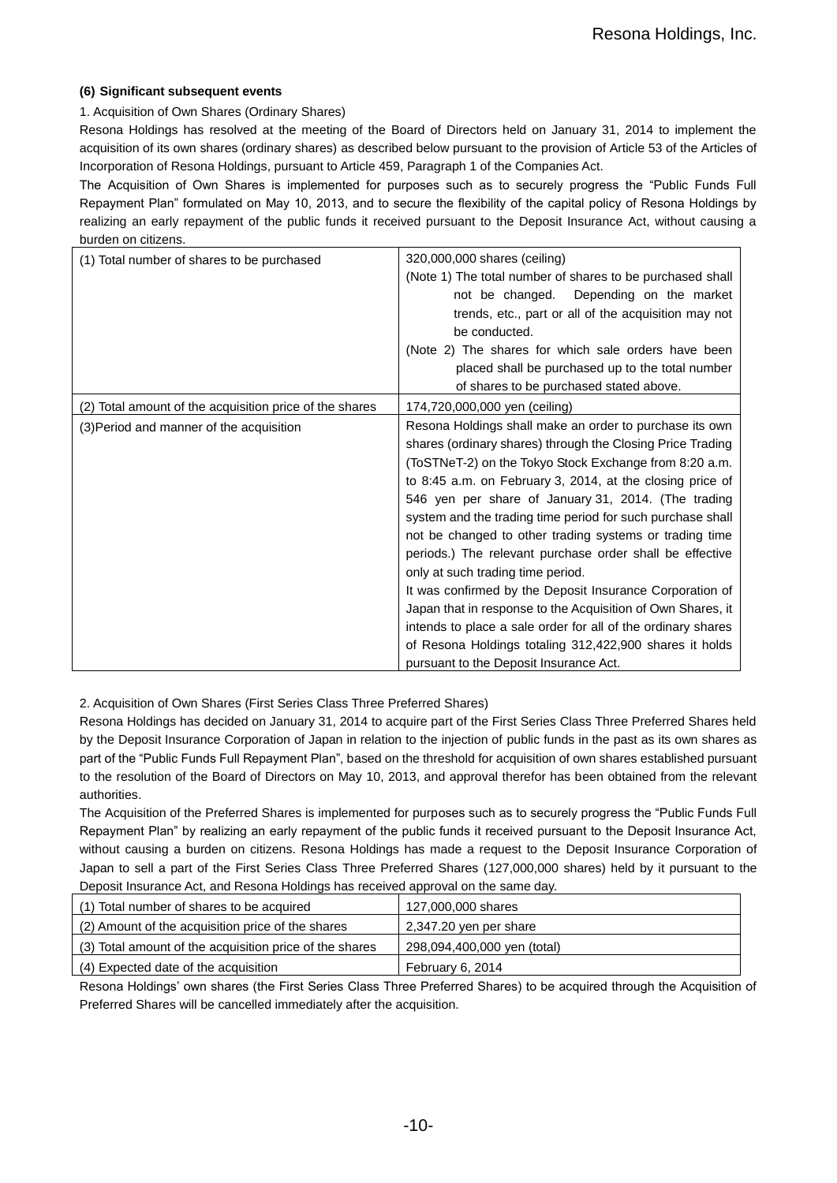# **(6) Significant subsequent events**

# 1. Acquisition of Own Shares (Ordinary Shares)

Resona Holdings has resolved at the meeting of the Board of Directors held on January 31, 2014 to implement the acquisition of its own shares (ordinary shares) as described below pursuant to the provision of Article 53 of the Articles of Incorporation of Resona Holdings, pursuant to Article 459, Paragraph 1 of the Companies Act.

The Acquisition of Own Shares is implemented for purposes such as to securely progress the "Public Funds Full Repayment Plan" formulated on May 10, 2013, and to secure the flexibility of the capital policy of Resona Holdings by realizing an early repayment of the public funds it received pursuant to the Deposit Insurance Act, without causing a burden on citizens.

| (1) Total number of shares to be purchased              | 320,000,000 shares (ceiling)<br>(Note 1) The total number of shares to be purchased shall<br>Depending on the market<br>not be changed.<br>trends, etc., part or all of the acquisition may not<br>be conducted.<br>(Note 2) The shares for which sale orders have been<br>placed shall be purchased up to the total number                                                                                                                                                                                                                                                                                                                                                                                                                                                                                                   |
|---------------------------------------------------------|-------------------------------------------------------------------------------------------------------------------------------------------------------------------------------------------------------------------------------------------------------------------------------------------------------------------------------------------------------------------------------------------------------------------------------------------------------------------------------------------------------------------------------------------------------------------------------------------------------------------------------------------------------------------------------------------------------------------------------------------------------------------------------------------------------------------------------|
|                                                         | of shares to be purchased stated above.                                                                                                                                                                                                                                                                                                                                                                                                                                                                                                                                                                                                                                                                                                                                                                                       |
| (2) Total amount of the acquisition price of the shares | 174,720,000,000 yen (ceiling)                                                                                                                                                                                                                                                                                                                                                                                                                                                                                                                                                                                                                                                                                                                                                                                                 |
| (3) Period and manner of the acquisition                | Resona Holdings shall make an order to purchase its own<br>shares (ordinary shares) through the Closing Price Trading<br>(ToSTNeT-2) on the Tokyo Stock Exchange from 8:20 a.m.<br>to 8:45 a.m. on February 3, 2014, at the closing price of<br>546 yen per share of January 31, 2014. (The trading<br>system and the trading time period for such purchase shall<br>not be changed to other trading systems or trading time<br>periods.) The relevant purchase order shall be effective<br>only at such trading time period.<br>It was confirmed by the Deposit Insurance Corporation of<br>Japan that in response to the Acquisition of Own Shares, it<br>intends to place a sale order for all of the ordinary shares<br>of Resona Holdings totaling 312,422,900 shares it holds<br>pursuant to the Deposit Insurance Act. |

2. Acquisition of Own Shares (First Series Class Three Preferred Shares)

Resona Holdings has decided on January 31, 2014 to acquire part of the First Series Class Three Preferred Shares held by the Deposit Insurance Corporation of Japan in relation to the injection of public funds in the past as its own shares as part of the "Public Funds Full Repayment Plan", based on the threshold for acquisition of own shares established pursuant to the resolution of the Board of Directors on May 10, 2013, and approval therefor has been obtained from the relevant authorities.

The Acquisition of the Preferred Shares is implemented for purposes such as to securely progress the "Public Funds Full Repayment Plan" by realizing an early repayment of the public funds it received pursuant to the Deposit Insurance Act, without causing a burden on citizens. Resona Holdings has made a request to the Deposit Insurance Corporation of Japan to sell a part of the First Series Class Three Preferred Shares (127,000,000 shares) held by it pursuant to the Deposit Insurance Act, and Resona Holdings has received approval on the same day.

| (1) Total number of shares to be acquired               | 127,000,000 shares          |
|---------------------------------------------------------|-----------------------------|
| (2) Amount of the acquisition price of the shares       | 2,347.20 yen per share      |
| (3) Total amount of the acquisition price of the shares | 298,094,400,000 yen (total) |
| (4) Expected date of the acquisition                    | February 6, 2014            |

Resona Holdings' own shares (the First Series Class Three Preferred Shares) to be acquired through the Acquisition of Preferred Shares will be cancelled immediately after the acquisition.